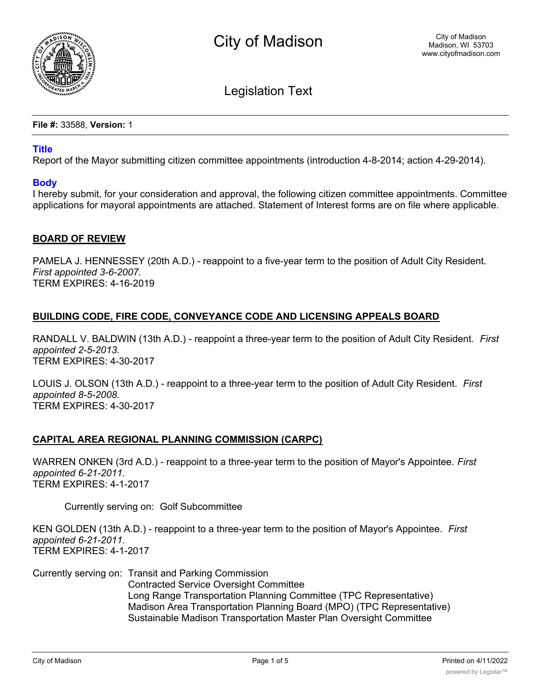

Legislation Text

**File #:** 33588, **Version:** 1

# **Title**

Report of the Mayor submitting citizen committee appointments (introduction 4-8-2014; action 4-29-2014).

### **Body**

I hereby submit, for your consideration and approval, the following citizen committee appointments. Committee applications for mayoral appointments are attached. Statement of Interest forms are on file where applicable.

### **BOARD OF REVIEW**

PAMELA J. HENNESSEY (20th A.D.) - reappoint to a five-year term to the position of Adult City Resident. *First appointed 3-6-2007.* TERM EXPIRES: 4-16-2019

# **BUILDING CODE, FIRE CODE, CONVEYANCE CODE AND LICENSING APPEALS BOARD**

RANDALL V. BALDWIN (13th A.D.) - reappoint a three-year term to the position of Adult City Resident. *First appointed 2-5-2013.* TERM EXPIRES: 4-30-2017

LOUIS J. OLSON (13th A.D.) - reappoint to a three-year term to the position of Adult City Resident. *First appointed 8-5-2008.* TERM EXPIRES: 4-30-2017

### **CAPITAL AREA REGIONAL PLANNING COMMISSION (CARPC)**

WARREN ONKEN (3rd A.D.) - reappoint to a three-year term to the position of Mayor's Appointee. *First appointed 6-21-2011.* TERM EXPIRES: 4-1-2017

Currently serving on: Golf Subcommittee

KEN GOLDEN (13th A.D.) - reappoint to a three-year term to the position of Mayor's Appointee. *First appointed 6-21-2011.* TERM EXPIRES: 4-1-2017

Currently serving on: Transit and Parking Commission Contracted Service Oversight Committee Long Range Transportation Planning Committee (TPC Representative) Madison Area Transportation Planning Board (MPO) (TPC Representative) Sustainable Madison Transportation Master Plan Oversight Committee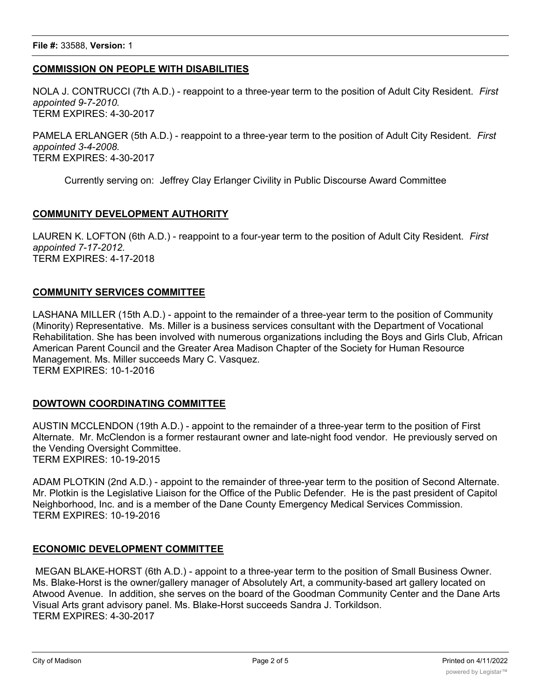# **COMMISSION ON PEOPLE WITH DISABILITIES**

NOLA J. CONTRUCCI (7th A.D.) - reappoint to a three-year term to the position of Adult City Resident. *First appointed 9-7-2010.* TERM EXPIRES: 4-30-2017

PAMELA ERLANGER (5th A.D.) - reappoint to a three-year term to the position of Adult City Resident. *First appointed 3-4-2008.* TERM EXPIRES: 4-30-2017

Currently serving on: Jeffrey Clay Erlanger Civility in Public Discourse Award Committee

### **COMMUNITY DEVELOPMENT AUTHORITY**

LAUREN K. LOFTON (6th A.D.) - reappoint to a four-year term to the position of Adult City Resident. *First appointed 7-17-2012.* TERM EXPIRES: 4-17-2018

### **COMMUNITY SERVICES COMMITTEE**

LASHANA MILLER (15th A.D.) - appoint to the remainder of a three-year term to the position of Community (Minority) Representative. Ms. Miller is a business services consultant with the Department of Vocational Rehabilitation. She has been involved with numerous organizations including the Boys and Girls Club, African American Parent Council and the Greater Area Madison Chapter of the Society for Human Resource Management. Ms. Miller succeeds Mary C. Vasquez. TERM EXPIRES: 10-1-2016

### **DOWTOWN COORDINATING COMMITTEE**

AUSTIN MCCLENDON (19th A.D.) - appoint to the remainder of a three-year term to the position of First Alternate. Mr. McClendon is a former restaurant owner and late-night food vendor. He previously served on the Vending Oversight Committee. TERM EXPIRES: 10-19-2015

ADAM PLOTKIN (2nd A.D.) - appoint to the remainder of three-year term to the position of Second Alternate. Mr. Plotkin is the Legislative Liaison for the Office of the Public Defender. He is the past president of Capitol Neighborhood, Inc. and is a member of the Dane County Emergency Medical Services Commission. TERM EXPIRES: 10-19-2016

# **ECONOMIC DEVELOPMENT COMMITTEE**

 MEGAN BLAKE-HORST (6th A.D.) - appoint to a three-year term to the position of Small Business Owner. Ms. Blake-Horst is the owner/gallery manager of Absolutely Art, a community-based art gallery located on Atwood Avenue. In addition, she serves on the board of the Goodman Community Center and the Dane Arts Visual Arts grant advisory panel. Ms. Blake-Horst succeeds Sandra J. Torkildson. TERM EXPIRES: 4-30-2017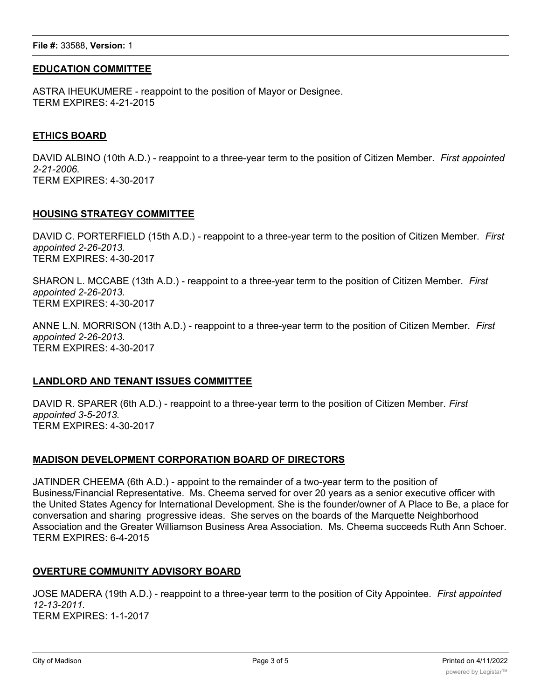#### **File #:** 33588, **Version:** 1

### **EDUCATION COMMITTEE**

ASTRA IHEUKUMERE - reappoint to the position of Mayor or Designee. TERM EXPIRES: 4-21-2015

#### **ETHICS BOARD**

DAVID ALBINO (10th A.D.) - reappoint to a three-year term to the position of Citizen Member. *First appointed 2-21-2006.* TERM EXPIRES: 4-30-2017

#### **HOUSING STRATEGY COMMITTEE**

DAVID C. PORTERFIELD (15th A.D.) - reappoint to a three-year term to the position of Citizen Member. *First appointed 2-26-2013.* TERM EXPIRES: 4-30-2017

SHARON L. MCCABE (13th A.D.) - reappoint to a three-year term to the position of Citizen Member. *First appointed 2-26-2013.* TERM EXPIRES: 4-30-2017

ANNE L.N. MORRISON (13th A.D.) - reappoint to a three-year term to the position of Citizen Member. *First appointed 2-26-2013.* TERM EXPIRES: 4-30-2017

### **LANDLORD AND TENANT ISSUES COMMITTEE**

DAVID R. SPARER (6th A.D.) - reappoint to a three-year term to the position of Citizen Member. *First appointed 3-5-2013.* TERM EXPIRES: 4-30-2017

#### **MADISON DEVELOPMENT CORPORATION BOARD OF DIRECTORS**

JATINDER CHEEMA (6th A.D.) - appoint to the remainder of a two-year term to the position of Business/Financial Representative. Ms. Cheema served for over 20 years as a senior executive officer with the United States Agency for International Development. She is the founder/owner of A Place to Be, a place for conversation and sharing progressive ideas. She serves on the boards of the Marquette Neighborhood Association and the Greater Williamson Business Area Association. Ms. Cheema succeeds Ruth Ann Schoer. TERM EXPIRES: 6-4-2015

### **OVERTURE COMMUNITY ADVISORY BOARD**

JOSE MADERA (19th A.D.) - reappoint to a three-year term to the position of City Appointee. *First appointed 12-13-2011.* TERM EXPIRES: 1-1-2017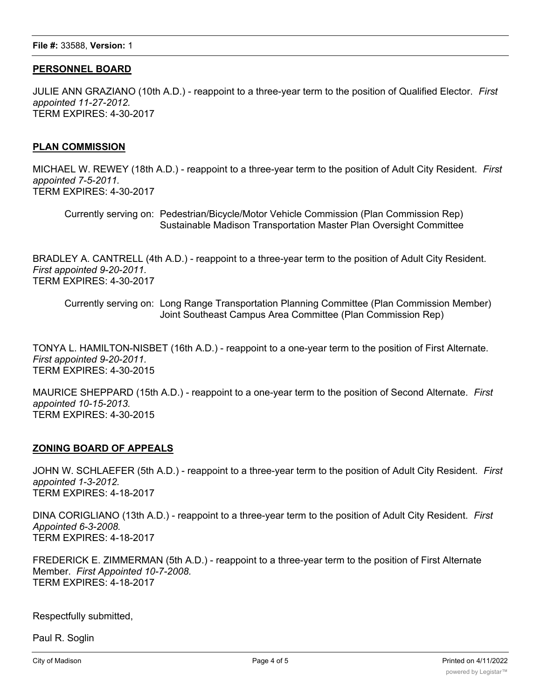# **PERSONNEL BOARD**

JULIE ANN GRAZIANO (10th A.D.) - reappoint to a three-year term to the position of Qualified Elector. *First appointed 11-27-2012.* TERM EXPIRES: 4-30-2017

### **PLAN COMMISSION**

MICHAEL W. REWEY (18th A.D.) - reappoint to a three-year term to the position of Adult City Resident. *First appointed 7-5-2011.* TERM EXPIRES: 4-30-2017

Currently serving on: Pedestrian/Bicycle/Motor Vehicle Commission (Plan Commission Rep) Sustainable Madison Transportation Master Plan Oversight Committee

BRADLEY A. CANTRELL (4th A.D.) - reappoint to a three-year term to the position of Adult City Resident. *First appointed 9-20-2011.* TERM EXPIRES: 4-30-2017

Currently serving on: Long Range Transportation Planning Committee (Plan Commission Member) Joint Southeast Campus Area Committee (Plan Commission Rep)

TONYA L. HAMILTON-NISBET (16th A.D.) - reappoint to a one-year term to the position of First Alternate. *First appointed 9-20-2011.* TERM EXPIRES: 4-30-2015

MAURICE SHEPPARD (15th A.D.) - reappoint to a one-year term to the position of Second Alternate. *First appointed 10-15-2013.* TERM EXPIRES: 4-30-2015

### **ZONING BOARD OF APPEALS**

JOHN W. SCHLAEFER (5th A.D.) - reappoint to a three-year term to the position of Adult City Resident. *First appointed 1-3-2012.* TERM EXPIRES: 4-18-2017

DINA CORIGLIANO (13th A.D.) - reappoint to a three-year term to the position of Adult City Resident. *First Appointed 6-3-2008.* TERM EXPIRES: 4-18-2017

FREDERICK E. ZIMMERMAN (5th A.D.) - reappoint to a three-year term to the position of First Alternate Member. *First Appointed 10-7-2008.* TERM EXPIRES: 4-18-2017

Respectfully submitted,

Paul R. Soglin